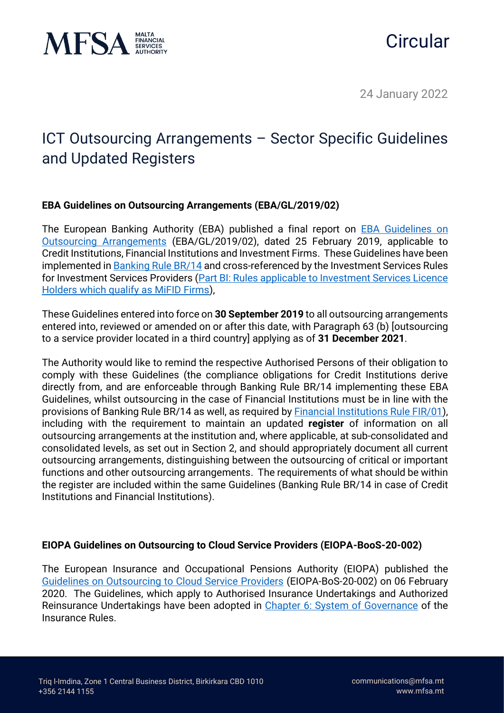



24 January 2022

# ICT Outsourcing Arrangements – Sector Specific Guidelines and Updated Registers

## **EBA Guidelines on Outsourcing Arrangements (EBA/GL/2019/02)**

The European Banking Authority (EBA) published a final report on [EBA Guidelines on](https://www.eba.europa.eu/sites/default/documents/files/documents/10180/2551996/38c80601-f5d7-4855-8ba3-702423665479/EBA%20revised%20Guidelines%20on%20outsourcing%20arrangements.pdf?retry=1)  [Outsourcing Arrangements](https://www.eba.europa.eu/sites/default/documents/files/documents/10180/2551996/38c80601-f5d7-4855-8ba3-702423665479/EBA%20revised%20Guidelines%20on%20outsourcing%20arrangements.pdf?retry=1) (EBA/GL/2019/02), dated 25 February 2019, applicable to Credit Institutions, Financial Institutions and Investment Firms. These Guidelines have been implemented in [Banking Rule BR/14](https://www.mfsa.mt/wp-content/uploads/2022/01/BR14-Outsourcing-by-Credit-Institutions-Authorised-Under-The-Banking-Act-1994.pdf) and cross-referenced by the Investment Services Rules for Investment Services Providers [\(Part BI: Rules applicable to Investment Services Licence](https://www.mfsa.mt/wp-content/uploads/2021/08/Part-BI-Rules-applicable-to-Investment-Services-Licence-Holders-which-qualify-as-MiFID-Firms.pdf)  [Holders which qualify as MiFID Firms\)](https://www.mfsa.mt/wp-content/uploads/2021/08/Part-BI-Rules-applicable-to-Investment-Services-Licence-Holders-which-qualify-as-MiFID-Firms.pdf),

These Guidelines entered into force on **30 September 2019** to all outsourcing arrangements entered into, reviewed or amended on or after this date, with Paragraph 63 (b) [outsourcing to a service provider located in a third country] applying as of **31 December 2021**.

The Authority would like to remind the respective Authorised Persons of their obligation to comply with these Guidelines (the compliance obligations for Credit Institutions derive directly from, and are enforceable through Banking Rule BR/14 implementing these EBA Guidelines, whilst outsourcing in the case of Financial Institutions must be in line with the provisions of Banking Rule BR/14 as well, as required by **Financial Institutions Rule FIR/01**), including with the requirement to maintain an updated **register** of information on all outsourcing arrangements at the institution and, where applicable, at sub-consolidated and consolidated levels, as set out in Section 2, and should appropriately document all current outsourcing arrangements, distinguishing between the outsourcing of critical or important functions and other outsourcing arrangements. The requirements of what should be within the register are included within the same Guidelines (Banking Rule BR/14 in case of Credit Institutions and Financial Institutions).

### **EIOPA Guidelines on Outsourcing to Cloud Service Providers (EIOPA-BooS-20-002)**

The European Insurance and Occupational Pensions Authority (EIOPA) published the [Guidelines on Outsourcing to Cloud Service Providers](https://www.eiopa.europa.eu/sites/default/files/publications/eiopa_guidelines/guidelines_on_outsourcing_to_cloud_service_providers_en.pdf) (EIOPA-BoS-20-002) on 06 February 2020. The Guidelines, which apply to Authorised Insurance Undertakings and Authorized Reinsurance Undertakings have been adopted in [Chapter 6: System of Governance](https://www.mfsa.mt/wp-content/uploads/2019/06/Chapter-6_Final.pdf) of the Insurance Rules.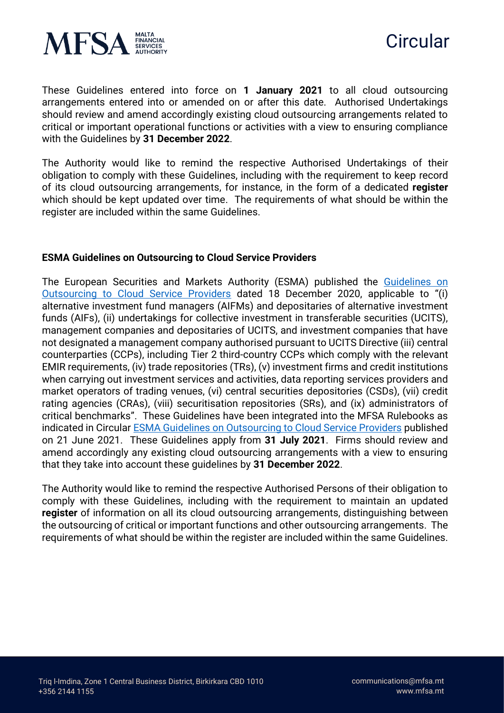



These Guidelines entered into force on **1 January 2021** to all cloud outsourcing arrangements entered into or amended on or after this date. Authorised Undertakings should review and amend accordingly existing cloud outsourcing arrangements related to critical or important operational functions or activities with a view to ensuring compliance with the Guidelines by **31 December 2022**.

The Authority would like to remind the respective Authorised Undertakings of their obligation to comply with these Guidelines, including with the requirement to keep record of its cloud outsourcing arrangements, for instance, in the form of a dedicated **register** which should be kept updated over time. The requirements of what should be within the register are included within the same Guidelines.

### **ESMA Guidelines on Outsourcing to Cloud Service Providers**

The European Securities and Markets Authority (ESMA) published the [Guidelines on](https://www.esma.europa.eu/sites/default/files/library/esma50-157-2403_cloud_guidelines.pdf)  [Outsourcing to Cloud Service Providers](https://www.esma.europa.eu/sites/default/files/library/esma50-157-2403_cloud_guidelines.pdf) dated 18 December 2020, applicable to "(i) alternative investment fund managers (AIFMs) and depositaries of alternative investment funds (AIFs), (ii) undertakings for collective investment in transferable securities (UCITS), management companies and depositaries of UCITS, and investment companies that have not designated a management company authorised pursuant to UCITS Directive (iii) central counterparties (CCPs), including Tier 2 third-country CCPs which comply with the relevant EMIR requirements, (iv) trade repositories (TRs), (v) investment firms and credit institutions when carrying out investment services and activities, data reporting services providers and market operators of trading venues, (vi) central securities depositories (CSDs), (vii) credit rating agencies (CRAs), (viii) securitisation repositories (SRs), and (ix) administrators of critical benchmarks". These Guidelines have been integrated into the MFSA Rulebooks as indicated in Circular **ESMA Guidelines on Outsourcing to Cloud Service Providers** published on 21 June 2021. These Guidelines apply from **31 July 2021**. Firms should review and amend accordingly any existing cloud outsourcing arrangements with a view to ensuring that they take into account these guidelines by **31 December 2022**.

The Authority would like to remind the respective Authorised Persons of their obligation to comply with these Guidelines, including with the requirement to maintain an updated **register** of information on all its cloud outsourcing arrangements, distinguishing between the outsourcing of critical or important functions and other outsourcing arrangements. The requirements of what should be within the register are included within the same Guidelines.